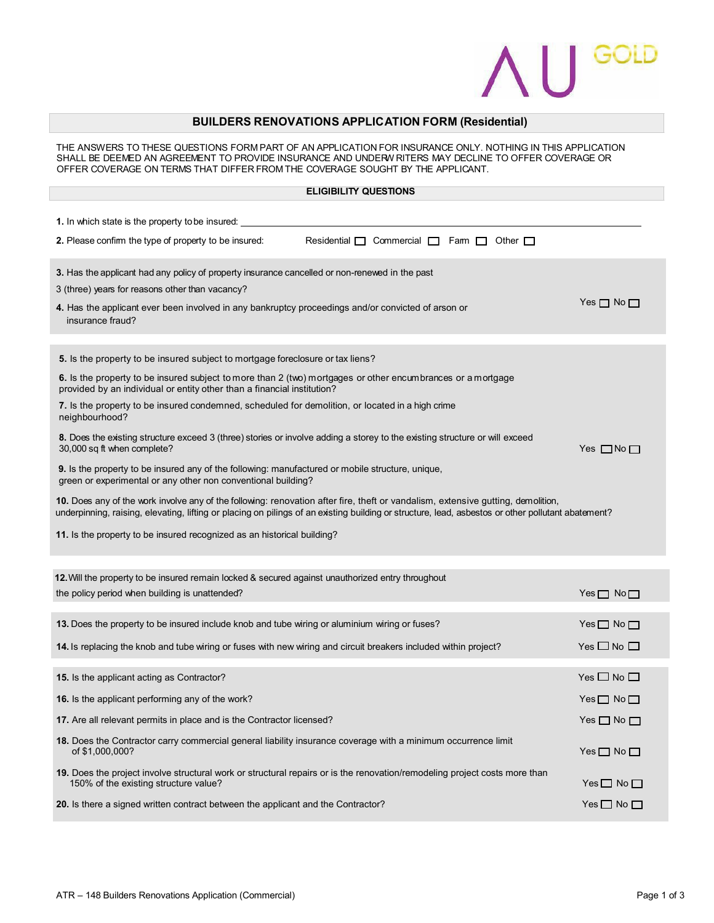

## **BUILDERS RENOVATIONS APPLICATION FORM (Residential)**

THE ANSWERS TO THESE QUESTIONS FORM PART OF AN APPLICATION FOR INSURANCE ONLY. NOTHING IN THIS APPLICATION SHALL BE DEEMED AN AGREEMENT TO PROVIDE INSURANCE AND UNDERW RITERS MAY DECLINE TO OFFER COVERAGE OR OFFER COVERAGE ON TERMS THAT DIFFER FROM THE COVERAGE SOUGHT BY THE APPLICANT.

## **ELIGIBILITY QUESTIONS**

| 1. In which state is the property to be insured:                                                                                                                                                                                                                                       |                            |
|----------------------------------------------------------------------------------------------------------------------------------------------------------------------------------------------------------------------------------------------------------------------------------------|----------------------------|
| 2. Please confirm the type of property to be insured:<br>Residential $\Box$ Commercial $\Box$ Fam $\Box$ Other $\Box$                                                                                                                                                                  |                            |
| 3. Has the applicant had any policy of property insurance cancelled or non-renewed in the past<br>3 (three) years for reasons other than vacancy?<br>4. Has the applicant ever been involved in any bankruptcy proceedings and/or convicted of arson or                                | Yes $\Box$ No $\Box$       |
| insurance fraud?                                                                                                                                                                                                                                                                       |                            |
| 5. Is the property to be insured subject to mortgage foreclosure or tax liens?                                                                                                                                                                                                         |                            |
| 6. Is the property to be insured subject to more than 2 (two) mortgages or other encumbrances or a mortgage<br>provided by an individual or entity other than a financial institution?                                                                                                 |                            |
| 7. Is the property to be insured condemned, scheduled for demolition, or located in a high crime<br>neighbourhood?                                                                                                                                                                     |                            |
| 8. Does the existing structure exceed 3 (three) stories or involve adding a storey to the existing structure or will exceed<br>30,000 sq ft when complete?                                                                                                                             | Yes $\Box$ No $\Box$       |
| <b>9.</b> Is the property to be insured any of the following: manufactured or mobile structure, unique,<br>green or experimental or any other non conventional building?                                                                                                               |                            |
| 10. Does any of the work involve any of the following: renovation after fire, theft or vandalism, extensive gutting, demolition,<br>underpinning, raising, elevating, lifting or placing on pilings of an existing building or structure, lead, asbestos or other pollutant abatement? |                            |
| 11. Is the property to be insured recognized as an historical building?                                                                                                                                                                                                                |                            |
|                                                                                                                                                                                                                                                                                        |                            |
| <b>12.</b> Will the property to be insured remain locked & secured against unauthorized entry throughout<br>the policy period when building is unattended?                                                                                                                             | $Yes \Box No \Box$         |
| 13. Does the property to be insured include knob and tube wiring or aluminium wiring or fuses?                                                                                                                                                                                         | Yes $\square$ No $\square$ |
| 14. Is replacing the knob and tube wiring or fuses with new wiring and circuit breakers included within project?                                                                                                                                                                       | Yes $\square$ No $\square$ |
| <b>15.</b> Is the applicant acting as Contractor?                                                                                                                                                                                                                                      | Yes $\square$ No $\square$ |
| 16. Is the applicant performing any of the work?                                                                                                                                                                                                                                       | $Yes \Box No \Box$         |
| 17. Are all relevant permits in place and is the Contractor licensed?                                                                                                                                                                                                                  | Yes $\square$ No $\square$ |
| 18. Does the Contractor carry commercial general liability insurance coverage with a minimum occurrence limit<br>of \$1,000,000?                                                                                                                                                       | Yes $\square$ No $\square$ |
| 19. Does the project involve structural work or structural repairs or is the renovation/remodeling project costs more than<br>150% of the existing structure value?                                                                                                                    | $Yes \Box No \Box$         |
| 20. Is there a signed written contract between the applicant and the Contractor?                                                                                                                                                                                                       | Yes $\square$ No $\square$ |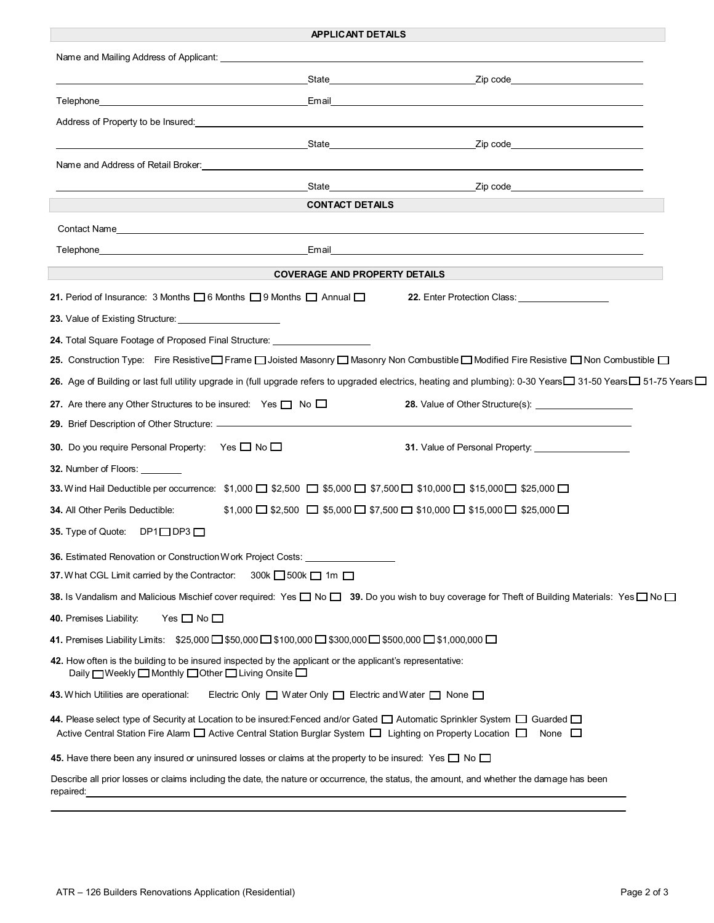| <b>APPLICANT DETAILS</b>                                                                                                                                                                                                                                                                 |
|------------------------------------------------------------------------------------------------------------------------------------------------------------------------------------------------------------------------------------------------------------------------------------------|
|                                                                                                                                                                                                                                                                                          |
| State <b>State</b> State <b>State</b> State <b>State</b> State State State State State State State State State State State State State State State State State State State State State State State State State State State State State State                                             |
| Telephone_<br>a series and the control of the control of the control of the control of the control of the control of the control of the control of the control of the control of the control of the control of the control of the control of                                             |
| Address of Property to be Insured: Note that the state of the state of the state of the state of the state of the state of the state of the state of the state of the state of the state of the state of the state of the stat                                                           |
|                                                                                                                                                                                                                                                                                          |
| Name and Address of Retail Broker:                                                                                                                                                                                                                                                       |
| <b>Example 2</b> Separate 2 Separate 2 Separate 2 Separate 2 Separate 2 Separate 2 Separate 2 Separate 2 Separate 2 Separate 2 Separate 2 Separate 2 Separate 2 Separate 2 Separate 2 Separate 2 Separate 2 Separate 2 Separate 2 S<br>State                                             |
| <b>CONTACT DETAILS</b>                                                                                                                                                                                                                                                                   |
|                                                                                                                                                                                                                                                                                          |
|                                                                                                                                                                                                                                                                                          |
| <b>COVERAGE AND PROPERTY DETAILS</b>                                                                                                                                                                                                                                                     |
| 21. Period of Insurance: 3 Months 06 Months 09 Months 0 Annual 0<br>22. Enter Protection Class: <u>_________________________</u>                                                                                                                                                         |
|                                                                                                                                                                                                                                                                                          |
| 24. Total Square Footage of Proposed Final Structure: __________________________                                                                                                                                                                                                         |
| 25. Construction Type: Fire Resistive □ Frame □ Joisted Masonry □ Masonry Non Combustible □ Modified Fire Resistive □ Non Combustible □                                                                                                                                                  |
| 26. Age of Building or last full utility upgrade in (full upgrade refers to upgraded electrics, heating and plumbing): 0-30 Years□ 31-50 Years□ 51-75 Years□                                                                                                                             |
| 27. Are there any Other Structures to be insured: Yes $\Box$ No $\Box$                                                                                                                                                                                                                   |
|                                                                                                                                                                                                                                                                                          |
| 30. Do you require Personal Property: Yes □ No □                                                                                                                                                                                                                                         |
| <b>32.</b> Number of Floors:                                                                                                                                                                                                                                                             |
| 33. Wind Hail Deductible per occurrence: \$1,000 □ \$2,500 □ \$5,000 □ \$7,500 □ \$10,000 □ \$15,000 □ \$25,000 □                                                                                                                                                                        |
| $$1,000$ $\Box$ \$2,500 $\Box$ \$5,000 $\Box$ \$7,500 $\Box$ \$10,000 $\Box$ \$15,000 $\Box$ \$25,000 $\Box$<br><b>34. All Other Perils Deductible:</b>                                                                                                                                  |
| 35. Type of Quote: DP1□DP3□                                                                                                                                                                                                                                                              |
| 36. Estimated Renovation or Construction Work Project Costs:                                                                                                                                                                                                                             |
| 37. What CGL Limit carried by the Contractor:<br>300k □ 500k □ 1m □                                                                                                                                                                                                                      |
| 38. Is Vandalism and Malicious Mischief cover required: Yes $\Box$ No $\Box$ 39. Do you wish to buy coverage for Theft of Building Materials: Yes $\Box$ No $\Box$                                                                                                                       |
| 40. Premises Liability:<br>Yes $\square$ No $\square$                                                                                                                                                                                                                                    |
| 41. Premises Liability Limits: \$25,000 □ \$50,000 □ \$100,000 □ \$300,000 □ \$500,000 □ \$1,000,000 □                                                                                                                                                                                   |
| 42. How often is the building to be insured inspected by the applicant or the applicant's representative:<br>Daily □Weekly □ Monthly □ Other □ Living Onsite □                                                                                                                           |
| <b>43.</b> W hich Utilities are operational:<br>Electric Only $\Box$ Water Only $\Box$ Electric and Water $\Box$ None $\Box$                                                                                                                                                             |
| 44. Please select type of Security at Location to be insured: Fenced and/or Gated $\Box$ Automatic Sprinkler System $\Box$ Guarded $\Box$<br>Active Central Station Fire Alam $\Box$ Active Central Station Burglar System $\Box$ Lighting on Property Location $\Box$<br>None $\square$ |
| 45. Have there been any insured or uninsured losses or claims at the property to be insured: Yes $\square$ No $\square$                                                                                                                                                                  |
| Describe all prior losses or claims including the date, the nature or occurrence, the status, the amount, and whether the damage has been<br>repaired:                                                                                                                                   |